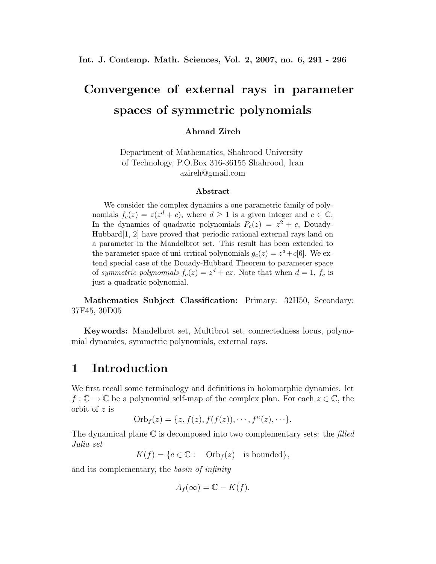# **Convergence of external rays in parameter spaces of symmetric polynomials**

#### **Ahmad Zireh**

Department of Mathematics, Shahrood University of Technology, P.O.Box 316-36155 Shahrood, Iran azireh@gmail.com

#### **Abstract**

We consider the complex dynamics a one parametric family of polynomials  $f_c(z) = z(z^d + c)$ , where  $d \ge 1$  is a given integer and  $c \in \mathbb{C}$ . In the dynamics of quadratic polynomials  $P_c(z) = z^2 + c$ , Douady-Hubbard[1, 2] have proved that periodic rational external rays land on a parameter in the Mandelbrot set. This result has been extended to the parameter space of uni-critical polynomials  $g_c(z) = z^d + c[6]$ . We extend special case of the Douady-Hubbard Theorem to parameter space of *symmetric polynomials*  $f_c(z) = z^d + cz$ . Note that when  $d = 1$ ,  $f_c$  is just a quadratic polynomial.

**Mathematics Subject Classification:** Primary: 32H50, Secondary: 37F45, 30D05

**Keywords:** Mandelbrot set, Multibrot set, connectedness locus, polynomial dynamics, symmetric polynomials, external rays.

### **1 Introduction**

We first recall some terminology and definitions in holomorphic dynamics. let  $f: \mathbb{C} \to \mathbb{C}$  be a polynomial self-map of the complex plan. For each  $z \in \mathbb{C}$ , the orbit of z is

Orb<sup>f</sup> (z) = {z, f(z), f(f(z)), ··· , f<sup>n</sup>(z), · · ·}.

The dynamical plane C is decomposed into two complementary sets: the *filled Julia set*

 $K(f) = \{c \in \mathbb{C} : \text{Orb}_f(z) \text{ is bounded}\},\$ 

and its complementary, the *basin of infinity*

$$
A_f(\infty) = \mathbb{C} - K(f).
$$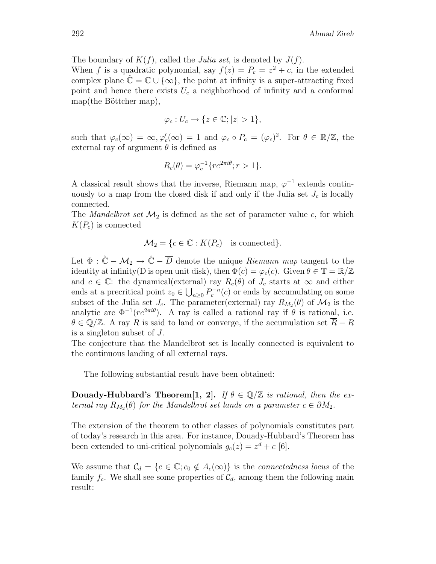The boundary of  $K(f)$ , called the *Julia set*, is denoted by  $J(f)$ .

When f is a quadratic polynomial, say  $f(z) = P_c = z^2 + c$ , in the extended complex plane  $\hat{\mathbb{C}} = \mathbb{C} \cup \{\infty\}$ , the point at infinity is a super-attracting fixed point and hence there exists  $U_c$  a neighborhood of infinity and a conformal  $map(the Böttcher map),$ 

$$
\varphi_c: U_c \to \{ z \in \mathbb{C}; |z| > 1 \},\
$$

such that  $\varphi_c(\infty) = \infty, \varphi_c'(\infty) = 1$  and  $\varphi_c \circ P_c = (\varphi_c)^2$ . For  $\theta \in \mathbb{R}/\mathbb{Z}$ , the external ray of argument  $\theta$  is defined as

$$
R_c(\theta) = \varphi_c^{-1} \{ re^{2\pi i \theta}; r > 1 \}.
$$

A classical result shows that the inverse, Riemann map,  $\varphi^{-1}$  extends continuously to a map from the closed disk if and only if the Julia set  $J_c$  is locally connected.

The *Mandelbrot set*  $\mathcal{M}_2$  is defined as the set of parameter value c, for which  $K(P_c)$  is connected

$$
\mathcal{M}_2 = \{c \in \mathbb{C} : K(P_c) \text{ is connected}\}.
$$

Let  $\Phi : \hat{\mathbb{C}} - \mathcal{M}_2 \to \hat{\mathbb{C}} - \overline{D}$  denote the unique *Riemann map* tangent to the identity at infinity(D is open unit disk), then  $\Phi(c) = \varphi_c(c)$ . Given  $\theta \in \mathbb{T} = \mathbb{R}/\mathbb{Z}$ and  $c \in \mathbb{C}$ : the dynamical(external) ray  $R_c(\theta)$  of  $J_c$  starts at  $\infty$  and either ends at a precritical point  $z_0 \in \bigcup_{n\geq 0} P_c^{-n}(c)$  or ends by accumulating on some subset of the Julia set  $J_c$ . The parameter(external) ray  $R_{M_2}(\theta)$  of  $\mathcal{M}_2$  is the analytic arc  $\Phi^{-1}(re^{2\pi i\theta})$ . A ray is called a rational ray if  $\theta$  is rational, i.e.  $\theta \in \mathbb{Q}/\mathbb{Z}$ . A ray R is said to land or converge, if the accumulation set  $\overline{R} - R$ is a singleton subset of J.

The conjecture that the Mandelbrot set is locally connected is equivalent to the continuous landing of all external rays.

The following substantial result have been obtained:

**Douady-Hubbard's Theorem[1, 2].** *If*  $\theta \in \mathbb{Q}/\mathbb{Z}$  *is rational, then the external ray*  $R_{M_2}(\theta)$  *for the Mandelbrot set lands on a parameter*  $c \in \partial M_2$ *.* 

The extension of the theorem to other classes of polynomials constitutes part of today's research in this area. For instance, Douady-Hubbard's Theorem has been extended to uni-critical polynomials  $g_c(z) = z^d + c$  [6].

We assume that  $\mathcal{C}_d = \{c \in \mathbb{C}; c_0 \notin A_c(\infty)\}\$ is the *connectedness locus* of the family  $f_c$ . We shall see some properties of  $\mathcal{C}_d$ , among them the following main result: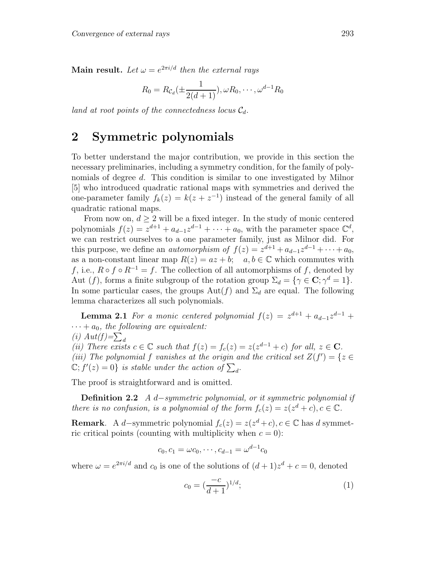**Main result.** Let  $\omega = e^{2\pi i/d}$  then the external rays

$$
R_0 = R c_d(\pm \frac{1}{2(d+1)}), \omega R_0, \cdots, \omega^{d-1} R_0
$$

*land at root points of the connectedness locus*  $C_d$ .

### **2 Symmetric polynomials**

To better understand the major contribution, we provide in this section the necessary preliminaries, including a symmetry condition, for the family of polynomials of degree d. This condition is similar to one investigated by Milnor [5] who introduced quadratic rational maps with symmetries and derived the one-parameter family  $f_k(z) = k(z + z^{-1})$  instead of the general family of all quadratic rational maps.

From now on,  $d > 2$  will be a fixed integer. In the study of monic centered polynomials  $f(z) = z^{d+1} + a_{d-1}z^{d-1} + \cdots + a_0$ , with the parameter space  $\mathbb{C}^d$ , we can restrict ourselves to a one parameter family, just as Milnor did. For this purpose, we define an *automorphism of*  $f(z) = z^{d+1} + a_{d-1}z^{d-1} + \cdots + a_0$ , as a non-constant linear map  $R(z) = az + b$ ;  $a, b \in \mathbb{C}$  which commutes with f, i.e.,  $R \circ f \circ R^{-1} = f$ . The collection of all automorphisms of f, denoted by Aut (f), forms a finite subgroup of the rotation group  $\Sigma_d = {\gamma \in \mathbf{C}}; \gamma^d = 1$ . In some particular cases, the groups  $\text{Aut}(f)$  and  $\Sigma_d$  are equal. The following lemma characterizes all such polynomials.

**Lemma 2.1** *For a monic centered polynomial*  $f(z) = z^{d+1} + a_{d-1}z^{d-1} +$  $\cdots + a_0$ , the following are equivalent: (*i*)  $Aut(f)=\sum_{d}$ *(ii)* There exists  $c \in \mathbb{C}$  *such that*  $f(z) = f_c(z) = z(z^{d-1} + c)$  *for all,*  $z \in \mathbb{C}$ *.* (*iii*) The polynomial f vanishes at the origin and the critical set  $Z(f') = \{z \in$  $\mathbb{C}$ ;  $f'(z) = 0$ } *is stable under the action of*  $\sum_{d}$ .

The proof is straightforward and is omitted.

**Definition 2.2** *A* d−*symmetric polynomial, or it symmetric polynomial if there is no confusion, is a polynomial of the form*  $f_c(z) = z(z^d + c), c \in \mathbb{C}$ *.* 

**Remark**. A d−symmetric polynomial  $f_c(z) = z(z^d + c)$ ,  $c \in \mathbb{C}$  has d symmetric critical points (counting with multiplicity when  $c = 0$ ):

$$
c_0, c_1 = \omega c_0, \cdots, c_{d-1} = \omega^{d-1} c_0
$$

where  $\omega = e^{2\pi i/d}$  and  $c_0$  is one of the solutions of  $(d+1)z^d + c = 0$ , denoted

$$
c_0 = \left(\frac{-c}{d+1}\right)^{1/d};\tag{1}
$$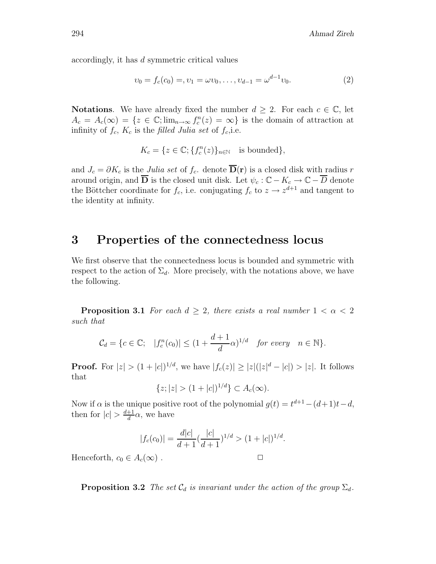accordingly, it has d symmetric critical values

$$
v_0 = f_c(c_0) = v_1 = \omega v_0, \dots, v_{d-1} = \omega^{d-1} v_0.
$$
 (2)

**Notations**. We have already fixed the number  $d \geq 2$ . For each  $c \in \mathbb{C}$ , let  $A_c = A_c(\infty) = \{z \in \mathbb{C}; \lim_{n \to \infty} f_c^n(z) = \infty\}$  is the domain of attraction at infinity of  $f_c$ ,  $K_c$  is the *filled Julia set* of  $f_c$ , i.e.

$$
K_c = \{ z \in \mathbb{C}; \{ f_c^n(z) \}_{n \in \mathbb{N}} \text{ is bounded} \},
$$

and  $J_c = \partial K_c$  is the *Julia set* of  $f_c$ , denote  $\overline{\mathbf{D}}(\mathbf{r})$  is a closed disk with radius r around origin, and  $\overline{D}$  is the closed unit disk. Let  $\psi_c : \mathbb{C} - K_c \to \mathbb{C} - \overline{D}$  denote the Böttcher coordinate for  $f_c$ , i.e. conjugating  $f_c$  to  $z \to z^{d+1}$  and tangent to the identity at infinity.

#### **3 Properties of the connectedness locus**

We first observe that the connectedness locus is bounded and symmetric with respect to the action of  $\Sigma_d$ . More precisely, with the notations above, we have the following.

**Proposition 3.1** *For each*  $d \geq 2$ *, there exists a real number*  $1 < \alpha < 2$ *such that*

$$
\mathcal{C}_d = \{c \in \mathbb{C}; \quad |f_c^n(c_0)| \le (1 + \frac{d+1}{d}\alpha)^{1/d} \quad \text{for every} \quad n \in \mathbb{N}\}.
$$

**Proof.** For  $|z| > (1 + |c|)^{1/d}$ , we have  $|f_c(z)| \ge |z|(|z|^d - |c|) > |z|$ . It follows that

$$
\{z; |z| > (1+|c|)^{1/d}\} \subset A_c(\infty).
$$

Now if  $\alpha$  is the unique positive root of the polynomial  $g(t) = t^{d+1} - (d+1)t - d$ , then for  $|c| > \frac{d+1}{d}\alpha$ , we have

$$
|f_c(c_0)| = \frac{d|c|}{d+1} \left(\frac{|c|}{d+1}\right)^{1/d} > (1+|c|)^{1/d}.
$$

Henceforth,  $c_0 \in A_c(\infty)$ .

**Proposition 3.2** *The set*  $C_d$  *is invariant under the action of the group*  $\Sigma_d$ *.*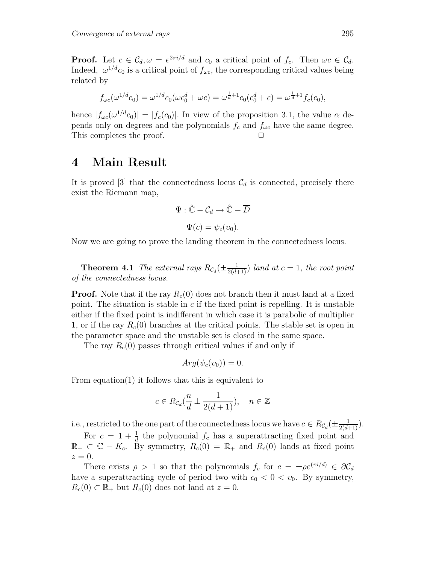**Proof.** Let  $c \in \mathcal{C}_d$ ,  $\omega = e^{2\pi i/d}$  and  $c_0$  a critical point of  $f_c$ . Then  $\omega c \in \mathcal{C}_d$ . Indeed,  $\omega^{1/d} c_0$  is a critical point of  $f_{\omega c}$ , the corresponding critical values being related by

$$
f_{\omega c}(\omega^{1/d}c_0) = \omega^{1/d}c_0(\omega c_0^d + \omega c) = \omega^{\frac{1}{d}+1}c_0(c_0^d + c) = \omega^{\frac{1}{d}+1}f_c(c_0),
$$

hence  $|f_{\omega c}(\omega^{1/d}c_0)| = |f_c(c_0)|$ . In view of the proposition 3.1, the value  $\alpha$  depends only on degrees and the polynomials  $f_c$  and  $f_{\omega c}$  have the same degree. This completes the proof.

## **4 Main Result**

It is proved [3] that the connectedness locus  $\mathcal{C}_d$  is connected, precisely there exist the Riemann map,

$$
\Psi : \hat{\mathbb{C}} - \mathcal{C}_d \to \hat{\mathbb{C}} - \overline{D}
$$

$$
\Psi(c) = \psi_c(v_0).
$$

Now we are going to prove the landing theorem in the connectedness locus.

**Theorem 4.1** *The external rays*  $R_{\mathcal{C}_d}(\pm \frac{1}{2(d+1)})$  *land at*  $c = 1$ *, the root point of the connectedness locus.*

**Proof.** Note that if the ray  $R_c(0)$  does not branch then it must land at a fixed point. The situation is stable in  $c$  if the fixed point is repelling. It is unstable either if the fixed point is indifferent in which case it is parabolic of multiplier 1, or if the ray  $R_c(0)$  branches at the critical points. The stable set is open in the parameter space and the unstable set is closed in the same space.

The ray  $R_c(0)$  passes through critical values if and only if

$$
Arg(\psi_c(v_0)) = 0.
$$

From equation(1) it follows that this is equivalent to

$$
c \in R_{\mathcal{C}_d}(\frac{n}{d} \pm \frac{1}{2(d+1)}), \quad n \in \mathbb{Z}
$$

i.e., restricted to the one part of the connectedness locus we have  $c \in R_{\mathcal{C}_d}(\pm \frac{1}{2(d+1)})$ .

For  $c = 1 + \frac{1}{d}$  the polynomial  $f_c$  has a superattracting fixed point and  $\mathbb{R}_+ \subset \mathbb{C} - K_c$ . By symmetry,  $R_c(0) = \mathbb{R}_+$  and  $R_c(0)$  lands at fixed point  $z=0$ .

There exists  $\rho > 1$  so that the polynomials  $f_c$  for  $c = \pm \rho e^{(\pi i/d)} \in \partial \mathcal{C}_d$ have a superattracting cycle of period two with  $c_0 < 0 < v_0$ . By symmetry,  $R_c(0) \subset \mathbb{R}_+$  but  $R_c(0)$  does not land at  $z = 0$ .